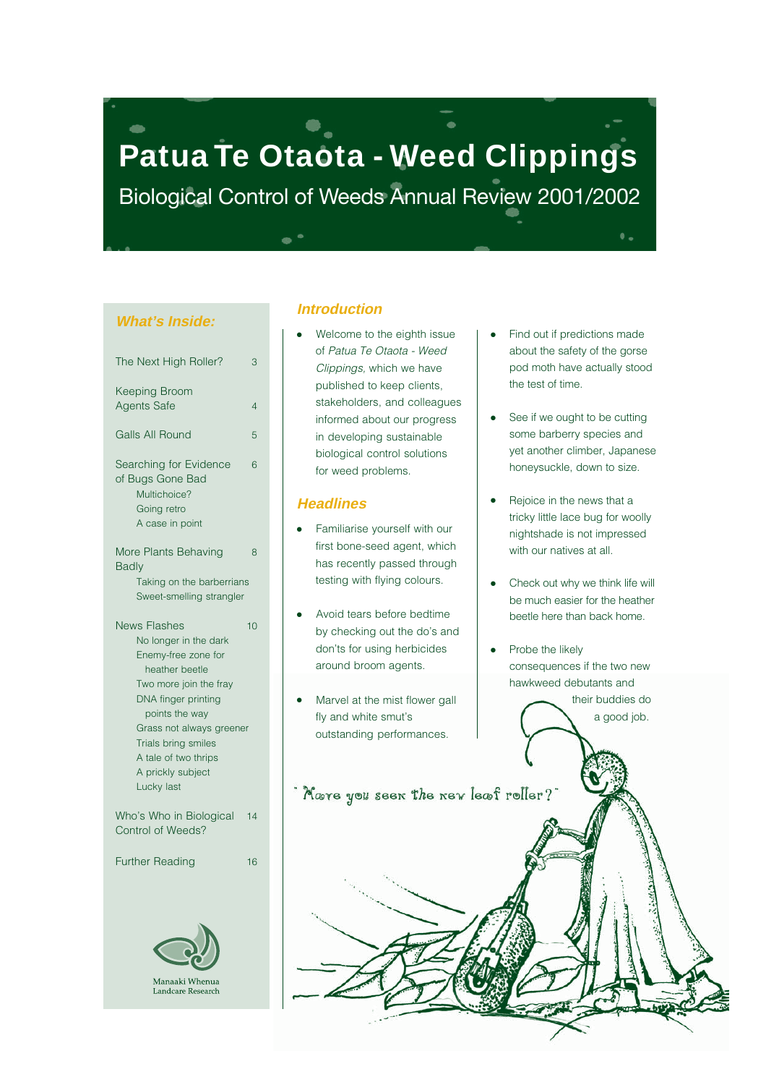# **Patua Te Otaota - Weed Clippings**

Biological Control of Weeds Annual Review 2001/2002

### **What's Inside:**

| The Next High Roller?                                                                                                                                                                                                                                                  | 3  |
|------------------------------------------------------------------------------------------------------------------------------------------------------------------------------------------------------------------------------------------------------------------------|----|
| <b>Keeping Broom</b><br><b>Agents Safe</b>                                                                                                                                                                                                                             | 4  |
| <b>Galls All Round</b>                                                                                                                                                                                                                                                 | 5  |
| Searching for Evidence<br>of Bugs Gone Bad<br>Multichoice?<br>Going retro<br>A case in point                                                                                                                                                                           | 6  |
| More Plants Behaving<br><b>Badly</b>                                                                                                                                                                                                                                   | 8  |
| Taking on the barberrians<br>Sweet-smelling strangler                                                                                                                                                                                                                  |    |
| <b>News Flashes</b><br>No longer in the dark<br>Enemy-free zone for<br>heather beetle<br>Two more join the fray<br>DNA finger printing<br>points the way<br>Grass not always greener<br>Trials bring smiles<br>A tale of two thrips<br>A prickly subject<br>Lucky last | 10 |
| Who's Who in Biological<br>Control of Weeds?                                                                                                                                                                                                                           | 14 |
| <b>Further Reading</b>                                                                                                                                                                                                                                                 | 16 |
|                                                                                                                                                                                                                                                                        |    |

Landcare Research

### **Introduction**

Welcome to the eighth issue of Patua Te Otaota - Weed Clippings, which we have published to keep clients, stakeholders, and colleagues informed about our progress in developing sustainable biological control solutions for weed problems.

### **Headlines**

- Familiarise yourself with our first bone-seed agent, which has recently passed through testing with flying colours.
- Avoid tears before bedtime by checking out the do's and don'ts for using herbicides around broom agents.
- Marvel at the mist flower gall fly and white smut's outstanding performances.

Nove you seen the new leaf roller?

Find out if predictions made about the safety of the gorse pod moth have actually stood the test of time.

 $\bullet$   $\overline{a}$ 

- See if we ought to be cutting some barberry species and yet another climber, Japanese honeysuckle, down to size.
- Rejoice in the news that a tricky little lace bug for woolly nightshade is not impressed with our natives at all.
- Check out why we think life will be much easier for the heather beetle here than back home.
- Probe the likely consequences if the two new hawkweed debutants and

 their buddies do a good job.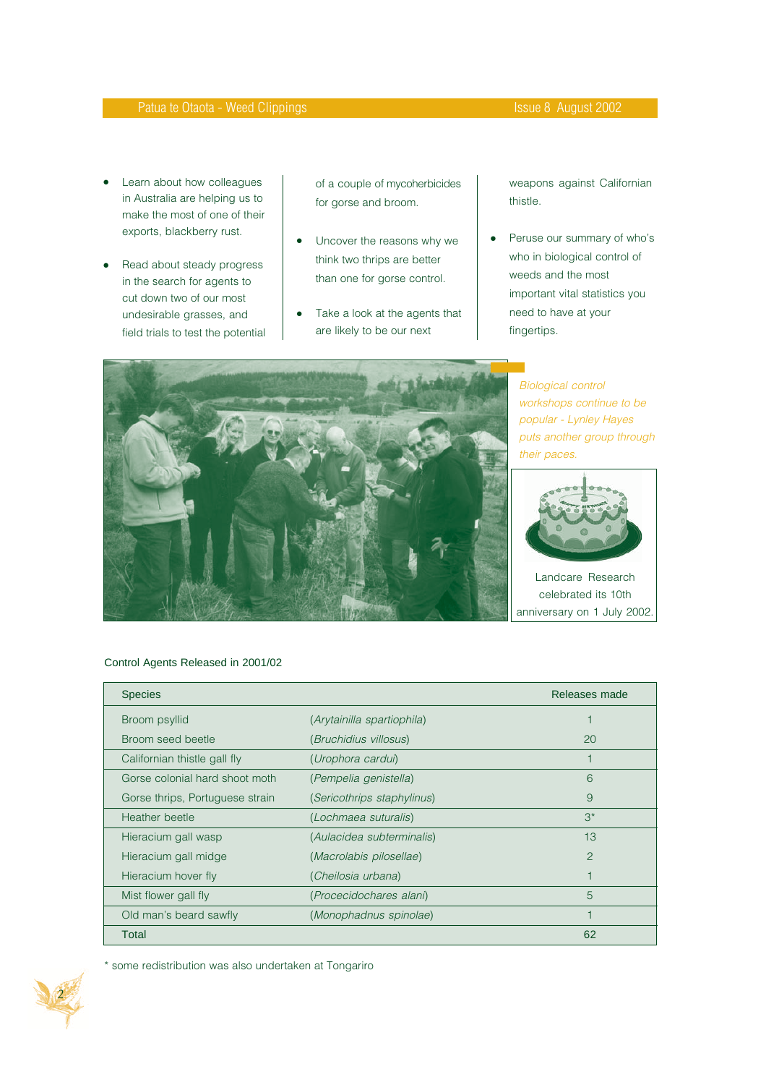- Learn about how colleagues in Australia are helping us to make the most of one of their exports, blackberry rust.
- Read about steady progress in the search for agents to cut down two of our most undesirable grasses, and field trials to test the potential

of a couple of mycoherbicides for gorse and broom.

- Uncover the reasons why we think two thrips are better than one for gorse control.
- Take a look at the agents that are likely to be our next

weapons against Californian thistle.

● Peruse our summary of who's who in biological control of weeds and the most important vital statistics you need to have at your fingertips.



Biological control workshops continue to be popular - Lynley Hayes puts another group through their paces.



Landcare Research celebrated its 10th anniversary on 1 July 2002.

#### Control Agents Released in 2001/02

| <b>Species</b>                  |                                   | Releases made |
|---------------------------------|-----------------------------------|---------------|
| Broom psyllid                   | (Arytainilla spartiophila)        |               |
| Broom seed beetle               | (Bruchidius villosus)             | 20            |
| Californian thistle gall fly    | (Urophora cardui)                 |               |
| Gorse colonial hard shoot moth  | (Pempelia genistella)             | 6             |
| Gorse thrips, Portuguese strain | <i>(Sericothrips staphylinus)</i> | 9             |
| Heather beetle                  | (Lochmaea suturalis)              | $3^*$         |
| Hieracium gall wasp             | (Aulacidea subterminalis)         | 13            |
| Hieracium gall midge            | (Macrolabis pilosellae)           | 2             |
| Hieracium hover fly             | (Cheilosia urbana)                |               |
| Mist flower gall fly            | (Procecidochares alani)           | 5             |
| Old man's beard sawfly          | (Monophadnus spinolae)            |               |
| Total                           |                                   | 62            |

\* some redistribution was also undertaken at Tongariro

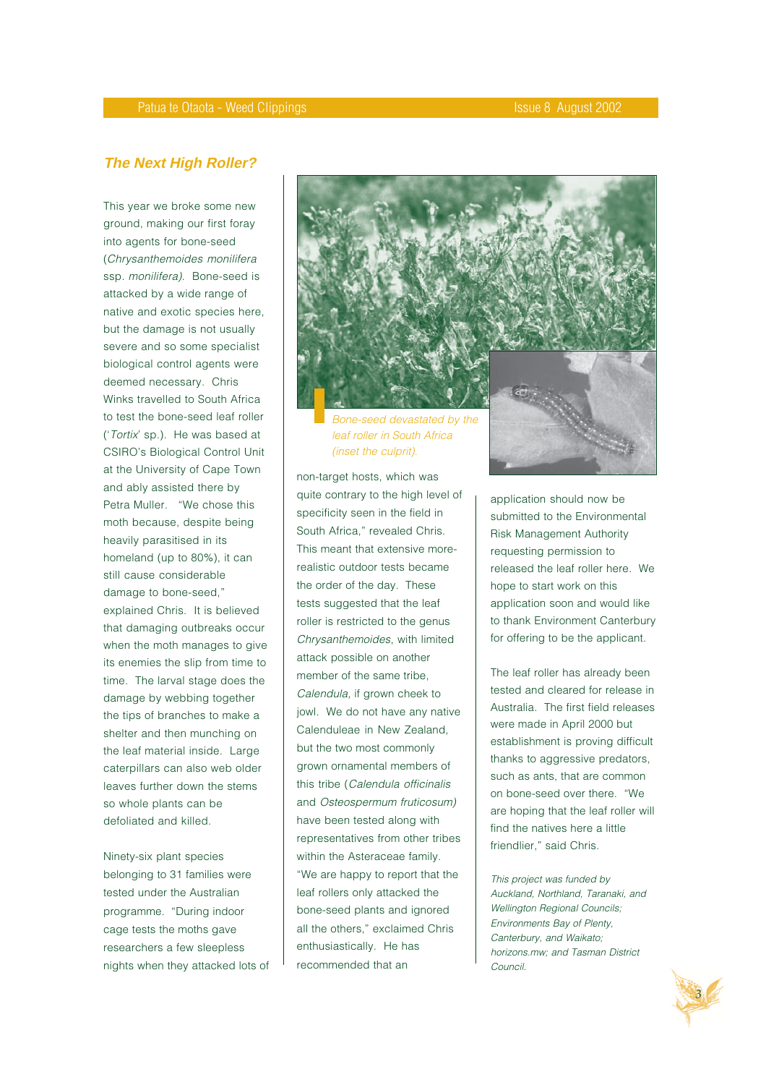## **The Next High Roller?**

This year we broke some new ground, making our first foray into agents for bone-seed (Chrysanthemoides monilifera ssp. monilifera). Bone-seed is attacked by a wide range of native and exotic species here, but the damage is not usually severe and so some specialist biological control agents were deemed necessary. Chris Winks travelled to South Africa to test the bone-seed leaf roller ('Tortix' sp.). He was based at CSIRO's Biological Control Unit at the University of Cape Town and ably assisted there by Petra Muller. "We chose this moth because, despite being heavily parasitised in its homeland (up to 80%), it can still cause considerable damage to bone-seed," explained Chris. It is believed that damaging outbreaks occur when the moth manages to give its enemies the slip from time to time. The larval stage does the damage by webbing together the tips of branches to make a shelter and then munching on the leaf material inside. Large caterpillars can also web older leaves further down the stems so whole plants can be defoliated and killed.

Ninety-six plant species belonging to 31 families were tested under the Australian programme. "During indoor cage tests the moths gave researchers a few sleepless nights when they attacked lots of



leaf roller in South Africa (inset the culprit).

non-target hosts, which was quite contrary to the high level of specificity seen in the field in South Africa," revealed Chris. This meant that extensive morerealistic outdoor tests became the order of the day. These tests suggested that the leaf roller is restricted to the genus Chrysanthemoides, with limited attack possible on another member of the same tribe, Calendula, if grown cheek to jowl. We do not have any native Calenduleae in New Zealand, but the two most commonly grown ornamental members of this tribe (Calendula officinalis and Osteospermum fruticosum) have been tested along with representatives from other tribes within the Asteraceae family. "We are happy to report that the leaf rollers only attacked the bone-seed plants and ignored all the others," exclaimed Chris enthusiastically. He has recommended that an

application should now be submitted to the Environmental Risk Management Authority requesting permission to released the leaf roller here. We hope to start work on this application soon and would like to thank Environment Canterbury for offering to be the applicant.

The leaf roller has already been tested and cleared for release in Australia. The first field releases were made in April 2000 but establishment is proving difficult thanks to aggressive predators, such as ants, that are common on bone-seed over there. "We are hoping that the leaf roller will find the natives here a little friendlier," said Chris.

This project was funded by Auckland, Northland, Taranaki, and Wellington Regional Councils; Environments Bay of Plenty, Canterbury, and Waikato; horizons.mw; and Tasman District Council.

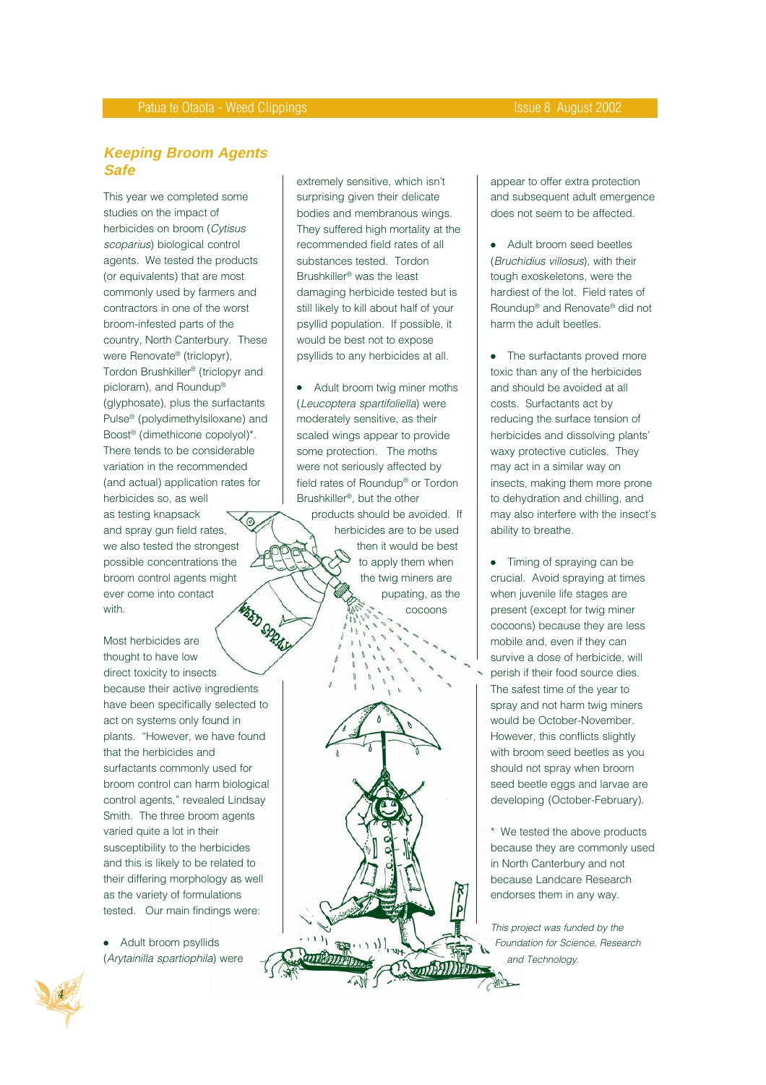# **Keeping Broom Agents Safe**

This year we completed some studies on the impact of herbicides on broom (Cytisus scoparius) biological control agents. We tested the products (or equivalents) that are most commonly used by farmers and contractors in one of the worst broom-infested parts of the country, North Canterbury. These were Renovate® (triclopyr), Tordon Brushkiller® (triclopyr and picloram), and Roundup® (glyphosate), plus the surfactants Pulse® (polydimethylsiloxane) and Boost® (dimethicone copolyol)\*. There tends to be considerable variation in the recommended (and actual) application rates for herbicides so, as well as testing knapsack ဴၜ and spray gun field rates, we also tested the strongest possible concentrations the broom control agents might ever come into contact **WEBD SPRAN** with.

Most herbicides are thought to have low direct toxicity to insects because their active ingredients have been specifically selected to act on systems only found in plants. "However, we have found that the herbicides and surfactants commonly used for broom control can harm biological control agents," revealed Lindsay Smith. The three broom agents varied quite a lot in their susceptibility to the herbicides and this is likely to be related to their differing morphology as well as the variety of formulations tested. Our main findings were:

● Adult broom psyllids (Arytainilla spartiophila) were extremely sensitive, which isn't surprising given their delicate bodies and membranous wings. They suffered high mortality at the recommended field rates of all substances tested. Tordon Brushkiller® was the least damaging herbicide tested but is still likely to kill about half of your psyllid population. If possible, it would be best not to expose psyllids to any herbicides at all.

Adult broom twig miner moths (Leucoptera spartifoliella) were moderately sensitive, as their scaled wings appear to provide some protection. The moths were not seriously affected by field rates of Roundup® or Tordon Brushkiller®, but the other

products should be avoided. If herbicides are to be used then it would be best to apply them when the twig miners are pupating, as the cocoons

appear to offer extra protection and subsequent adult emergence does not seem to be affected.

Adult broom seed beetles (Bruchidius villosus), with their tough exoskeletons, were the hardiest of the lot. Field rates of Roundup® and Renovate® did not harm the adult beetles.

● The surfactants proved more toxic than any of the herbicides and should be avoided at all costs. Surfactants act by reducing the surface tension of herbicides and dissolving plants' waxy protective cuticles. They may act in a similar way on insects, making them more prone to dehydration and chilling, and may also interfere with the insect's ability to breathe.

● Timing of spraying can be crucial. Avoid spraying at times when juvenile life stages are present (except for twig miner cocoons) because they are less mobile and, even if they can survive a dose of herbicide, will perish if their food source dies. The safest time of the year to spray and not harm twig miners would be October-November. However, this conflicts slightly with broom seed beetles as you should not spray when broom seed beetle eggs and larvae are developing (October-February).

\* We tested the above products because they are commonly used in North Canterbury and not because Landcare Research endorses them in any way.

This project was funded by the Foundation for Science, Research and Technology.

P

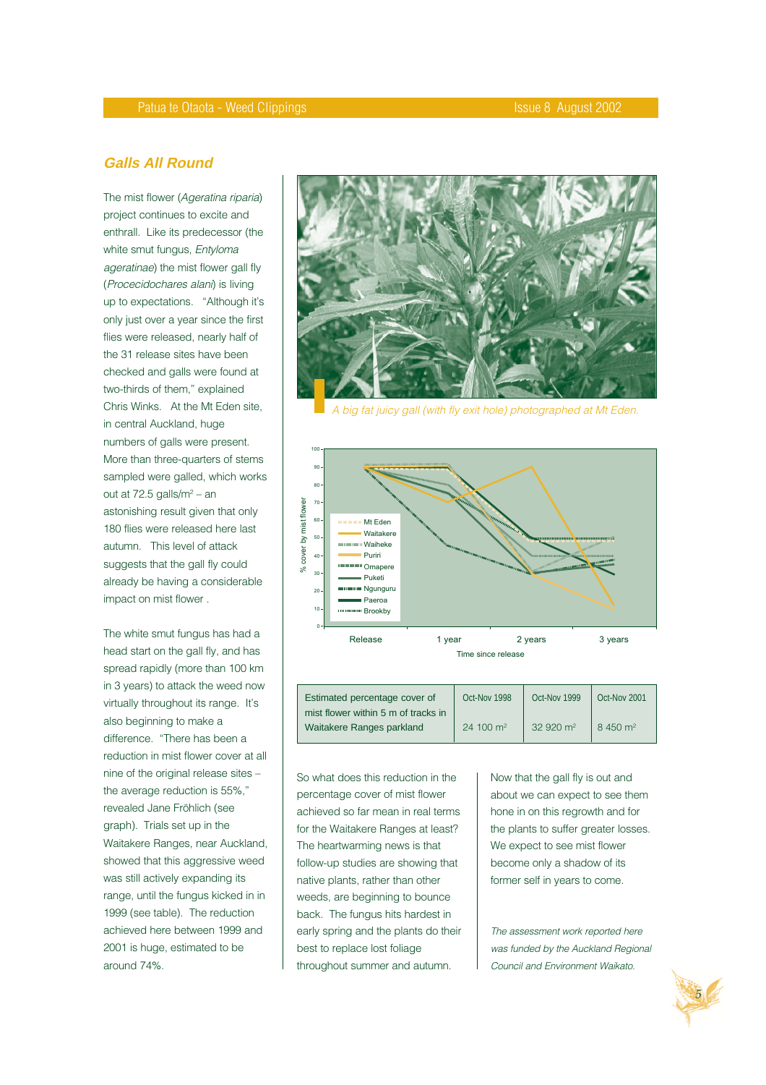# **Galls All Round**

The mist flower (Ageratina riparia) project continues to excite and enthrall. Like its predecessor (the white smut fungus, Entyloma ageratinae) the mist flower gall fly (Procecidochares alani) is living up to expectations. "Although it's only just over a year since the first flies were released, nearly half of the 31 release sites have been checked and galls were found at two-thirds of them," explained Chris Winks. At the Mt Eden site, in central Auckland, huge numbers of galls were present. More than three-quarters of stems sampled were galled, which works out at 72.5 galls/m<sup>2</sup> – an astonishing result given that only 180 flies were released here last autumn. This level of attack suggests that the gall fly could already be having a considerable impact on mist flower .

The white smut fungus has had a head start on the gall fly, and has spread rapidly (more than 100 km in 3 years) to attack the weed now virtually throughout its range. It's also beginning to make a difference. "There has been a reduction in mist flower cover at all nine of the original release sites – the average reduction is 55%," revealed Jane Fröhlich (see graph). Trials set up in the Waitakere Ranges, near Auckland, showed that this aggressive weed was still actively expanding its range, until the fungus kicked in in 1999 (see table). The reduction achieved here between 1999 and 2001 is huge, estimated to be around 74%.



A big fat juicy gall (with fly exit hole) photographed at Mt Eden.



| Estimated percentage cover of       | Oct-Nov 1998         | Oct-Nov 1999        | Oct-Nov 2001        |
|-------------------------------------|----------------------|---------------------|---------------------|
| mist flower within 5 m of tracks in |                      |                     |                     |
| Waitakere Ranges parkland           | $24,100 \text{ m}^2$ | $32920 \text{ m}^2$ | $8,450 \text{ m}^2$ |

So what does this reduction in the percentage cover of mist flower achieved so far mean in real terms for the Waitakere Ranges at least? The heartwarming news is that follow-up studies are showing that native plants, rather than other weeds, are beginning to bounce back. The fungus hits hardest in early spring and the plants do their best to replace lost foliage throughout summer and autumn.

Now that the gall fly is out and about we can expect to see them hone in on this regrowth and for the plants to suffer greater losses. We expect to see mist flower become only a shadow of its former self in years to come.

The assessment work reported here was funded by the Auckland Regional Council and Environment Waikato.

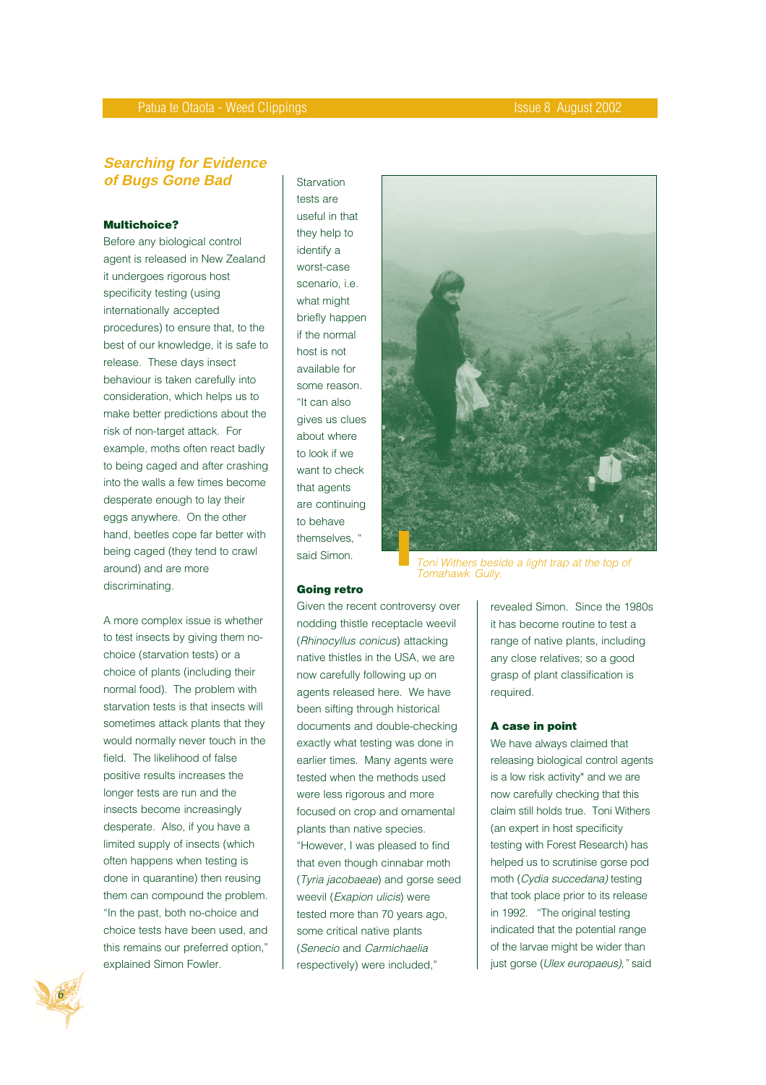# **Searching for Evidence of Bugs Gone Bad**

#### **Multichoice?**

Before any biological control agent is released in New Zealand it undergoes rigorous host specificity testing (using internationally accepted procedures) to ensure that, to the best of our knowledge, it is safe to release. These days insect behaviour is taken carefully into consideration, which helps us to make better predictions about the risk of non-target attack. For example, moths often react badly to being caged and after crashing into the walls a few times become desperate enough to lay their eggs anywhere. On the other hand, beetles cope far better with being caged (they tend to crawl around) and are more discriminating.

A more complex issue is whether to test insects by giving them nochoice (starvation tests) or a choice of plants (including their normal food). The problem with starvation tests is that insects will sometimes attack plants that they would normally never touch in the field. The likelihood of false positive results increases the longer tests are run and the insects become increasingly desperate. Also, if you have a limited supply of insects (which often happens when testing is done in quarantine) then reusing them can compound the problem. "In the past, both no-choice and choice tests have been used, and this remains our preferred option," explained Simon Fowler.

Starvation tests are useful in that they help to identify a worst-case scenario, i.e. what might briefly happen if the normal host is not available for some reason. "It can also gives us clues about where to look if we want to check that agents are continuing to behave themselves, said Simon.



Toni Withers beside a light trap at the top of Tomahawk Gully.

#### **Going retro**

Given the recent controversy over nodding thistle receptacle weevil (Rhinocyllus conicus) attacking native thistles in the USA, we are now carefully following up on agents released here. We have been sifting through historical documents and double-checking exactly what testing was done in earlier times. Many agents were tested when the methods used were less rigorous and more focused on crop and ornamental plants than native species. "However, I was pleased to find that even though cinnabar moth (Tyria jacobaeae) and gorse seed weevil (Exapion ulicis) were tested more than 70 years ago, some critical native plants (Senecio and Carmichaelia respectively) were included,"

revealed Simon. Since the 1980s it has become routine to test a range of native plants, including any close relatives; so a good grasp of plant classification is required.

#### **A case in point**

We have always claimed that releasing biological control agents is a low risk activity\* and we are now carefully checking that this claim still holds true. Toni Withers (an expert in host specificity testing with Forest Research) has helped us to scrutinise gorse pod moth (Cydia succedana) testing that took place prior to its release in 1992. "The original testing indicated that the potential range of the larvae might be wider than just gorse (Ulex europaeus)," said

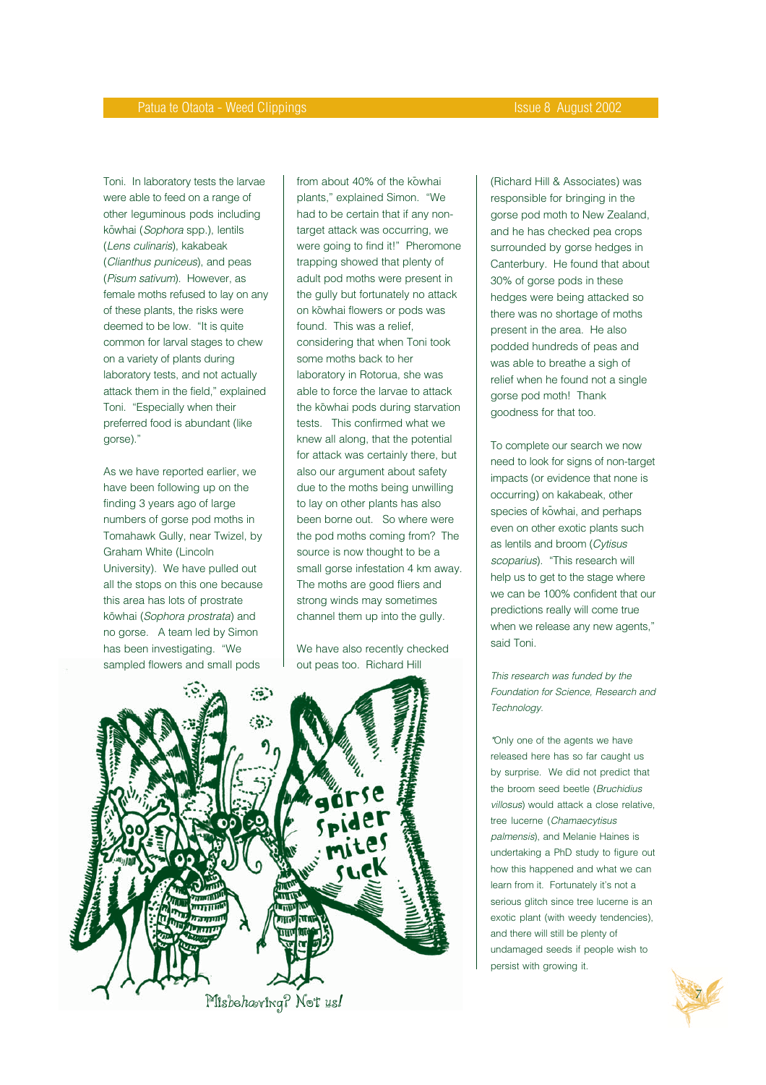Toni. In laboratory tests the larvae were able to feed on a range of other leguminous pods including kōwhai (*Sophora* spp.), lentils (Lens culinaris), kakabeak (Clianthus puniceus), and peas (Pisum sativum). However, as female moths refused to lay on any of these plants, the risks were deemed to be low. "It is quite common for larval stages to chew on a variety of plants during laboratory tests, and not actually attack them in the field," explained Toni. "Especially when their preferred food is abundant (like gorse)."

As we have reported earlier, we have been following up on the finding 3 years ago of large numbers of gorse pod moths in Tomahawk Gully, near Twizel, by Graham White (Lincoln University). We have pulled out all the stops on this one because this area has lots of prostrate kōwhai (*Sophora prostrata*) and no gorse. A team led by Simon has been investigating. "We sampled flowers and small pods

from about 40% of the kowhai plants," explained Simon. "We had to be certain that if any nontarget attack was occurring, we were going to find it!" Pheromone trapping showed that plenty of adult pod moths were present in the gully but fortunately no attack on kōwhai flowers or pods was found. This was a relief, considering that when Toni took some moths back to her laboratory in Rotorua, she was able to force the larvae to attack the kōwhai pods during starvation tests. This confirmed what we knew all along, that the potential for attack was certainly there, but also our argument about safety due to the moths being unwilling to lay on other plants has also been borne out. So where were the pod moths coming from? The source is now thought to be a small gorse infestation 4 km away. The moths are good fliers and strong winds may sometimes channel them up into the gully.

We have also recently checked out peas too. Richard Hill



(Richard Hill & Associates) was responsible for bringing in the gorse pod moth to New Zealand, and he has checked pea crops surrounded by gorse hedges in Canterbury. He found that about 30% of gorse pods in these hedges were being attacked so there was no shortage of moths present in the area. He also podded hundreds of peas and was able to breathe a sigh of relief when he found not a single gorse pod moth! Thank goodness for that too.

To complete our search we now need to look for signs of non-target impacts (or evidence that none is occurring) on kakabeak, other species of kowhai, and perhaps even on other exotic plants such as lentils and broom (Cytisus scoparius). "This research will help us to get to the stage where we can be 100% confident that our predictions really will come true when we release any new agents," said Toni.

This research was funded by the Foundation for Science, Research and Technology.

\*Only one of the agents we have released here has so far caught us by surprise. We did not predict that the broom seed beetle (Bruchidius villosus) would attack a close relative, tree lucerne (Chamaecytisus palmensis), and Melanie Haines is undertaking a PhD study to figure out how this happened and what we can learn from it. Fortunately it's not a serious glitch since tree lucerne is an exotic plant (with weedy tendencies), and there will still be plenty of undamaged seeds if people wish to persist with growing it.

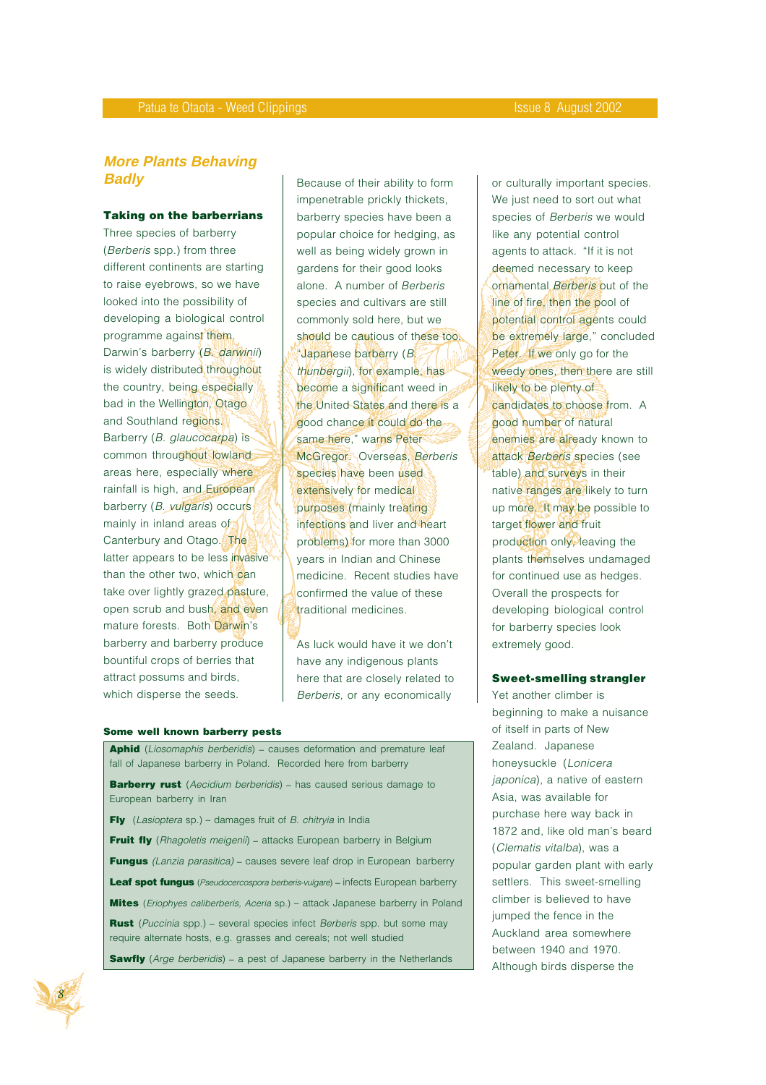# **More Plants Behaving Badly**

#### **Taking on the barberrians**

Three species of barberry (Berberis spp.) from three different continents are starting to raise eyebrows, so we have looked into the possibility of developing a biological control programme against them. Darwin's barberry (B. darwinii) is widely distributed throughout the country, being especially bad in the Wellington, Otago and Southland regions. Barberry (B. glaucocarpa) is common throughout lowland areas here, especially where rainfall is high, and European barberry (B. vulgaris) occurs mainly in inland areas of Canterbury and Otago. The latter appears to be less invasive than the other two, which can take over lightly grazed pasture, open scrub and bush, and even mature forests. Both Darwin's barberry and barberry produce bountiful crops of berries that attract possums and birds, which disperse the seeds.

Because of their ability to form impenetrable prickly thickets, barberry species have been a popular choice for hedging, as well as being widely grown in gardens for their good looks alone. A number of Berberis species and cultivars are still commonly sold here, but we should be cautious of these too. "Japanese barberry (B. thunbergii), for example, has become a significant weed in the United States and there is a good chance it could do the same here," warns Peter McGregor. Overseas, Berberis species have been used extensively for medical purposes (mainly treating infections and liver and heart problems) for more than 3000 years in Indian and Chinese medicine. Recent studies have confirmed the value of these traditional medicines.

As luck would have it we don't have any indigenous plants here that are closely related to Berberis, or any economically

#### **Some well known barberry pests**

Aphid (Liosomaphis berberidis) - causes deformation and premature leaf fall of Japanese barberry in Poland. Recorded here from barberry

**Barberry rust** (Aecidium berberidis) - has caused serious damage to European barberry in Iran

**Fly** (*Lasioptera* sp.) – damages fruit of *B. chitryia* in India

Fruit fly (Rhagoletis meigenii) - attacks European barberry in Belgium

**Fungus** (Lanzia parasitica) – causes severe leaf drop in European barberry

**Leaf spot fungus** (*Pseudocercospora berberis-vulgare*) – infects European barberry

**Mites** (Eriophyes caliberberis, Aceria sp.) – attack Japanese barberry in Poland

**Rust** (Puccinia spp.) - several species infect Berberis spp. but some may require alternate hosts, e.g. grasses and cereals; not well studied

**Sawfly** (Arge berberidis) – a pest of Japanese barberry in the Netherlands



or culturally important species. We just need to sort out what species of Berberis we would like any potential control agents to attack. "If it is not deemed necessary to keep ornamental **Berberis** out of the line of fire, then the pool of potential control agents could be extremely large," concluded Peter. If we only go for the weedy ones, then there are still likely to be plenty of candidates to choose from. A good number of natural enemies are already known to attack Berberis species (see table) and surveys in their native ranges are likely to turn up more. It may be possible to target flower and fruit production only, leaving the plants themselves undamaged for continued use as hedges. Overall the prospects for developing biological control for barberry species look extremely good.

#### **Sweet-smelling strangler**

Yet another climber is beginning to make a nuisance of itself in parts of New Zealand. Japanese honeysuckle (Lonicera japonica), a native of eastern Asia, was available for purchase here way back in 1872 and, like old man's beard (Clematis vitalba), was a popular garden plant with early settlers. This sweet-smelling climber is believed to have jumped the fence in the Auckland area somewhere between 1940 and 1970. Although birds disperse the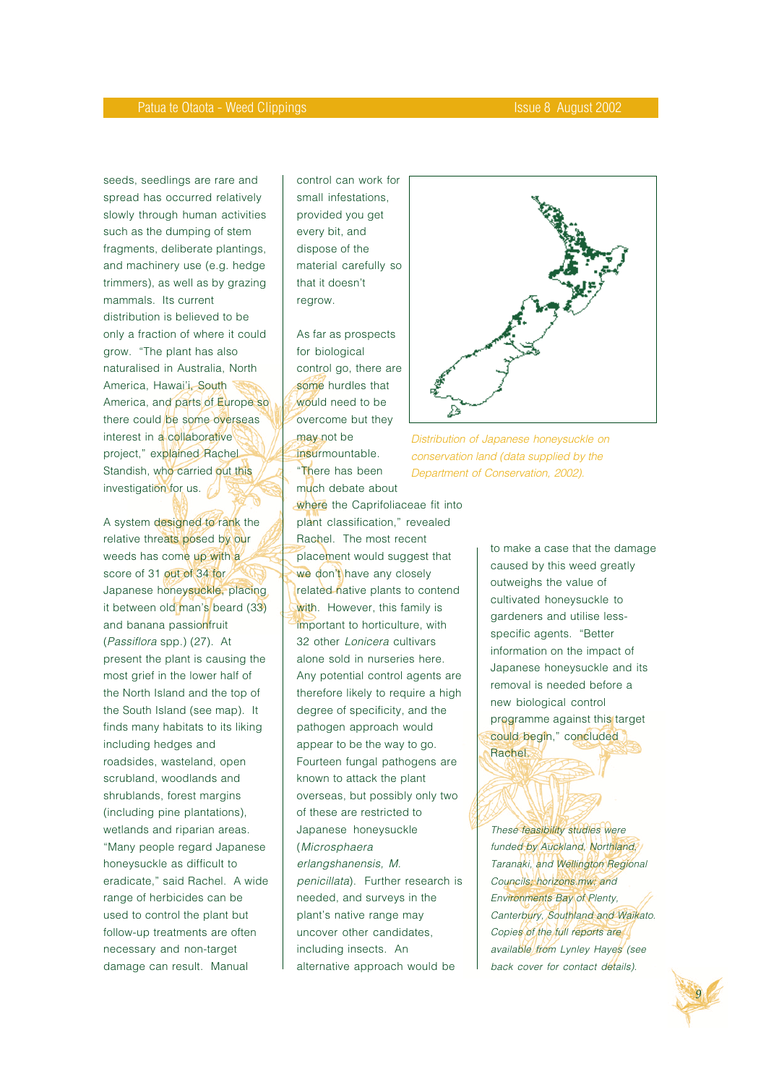seeds, seedlings are rare and spread has occurred relatively slowly through human activities such as the dumping of stem fragments, deliberate plantings, and machinery use (e.g. hedge trimmers), as well as by grazing mammals. Its current distribution is believed to be only a fraction of where it could grow. "The plant has also naturalised in Australia, North America, Hawai'i, South America, and parts of Europe so there could be some overseas interest in a collaborative project," explained Rachel Standish, who carried out this investigation for us.

A system designed to rank the relative threats posed by our weeds has come up with a score of 31 out of 34 for Japanese honeysuckle, placing it between old man's beard (33) and banana passionfruit (Passiflora spp.) (27). At present the plant is causing the most grief in the lower half of the North Island and the top of the South Island (see map). It finds many habitats to its liking including hedges and roadsides, wasteland, open scrubland, woodlands and shrublands, forest margins (including pine plantations), wetlands and riparian areas. "Many people regard Japanese honeysuckle as difficult to eradicate," said Rachel. A wide range of herbicides can be used to control the plant but follow-up treatments are often necessary and non-target damage can result. Manual

control can work for small infestations, provided you get every bit, and dispose of the material carefully so that it doesn't regrow.

As far as prospects for biological control go, there are some hurdles that would need to be overcome but they may not be insurmountable. "There has been much debate about



Distribution of Japanese honeysuckle on conservation land (data supplied by the Department of Conservation, 2002).

plant classification," revealed Rachel. The most recent placement would suggest that we don't have any closely related native plants to contend with. However, this family is important to horticulture, with 32 other Lonicera cultivars alone sold in nurseries here. Any potential control agents are therefore likely to require a high degree of specificity, and the pathogen approach would appear to be the way to go. Fourteen fungal pathogens are known to attack the plant overseas, but possibly only two of these are restricted to Japanese honeysuckle (Microsphaera erlangshanensis, M. penicillata). Further research is needed, and surveys in the plant's native range may uncover other candidates, including insects. An alternative approach would be

where the Caprifoliaceae fit into

to make a case that the damage caused by this weed greatly outweighs the value of cultivated honeysuckle to gardeners and utilise lessspecific agents. "Better information on the impact of Japanese honeysuckle and its removal is needed before a new biological control programme against this target could begin," concluded Rachel.

These feasibility studies were funded by Auckland, Northland, Taranaki, and Wellington Regional Councils; horizons.mw; and Environments Bay of Plenty, Canterbury, Southland and Waikato. Copies of the full reports are available from Lynley Hayes (see back cover for contact details).

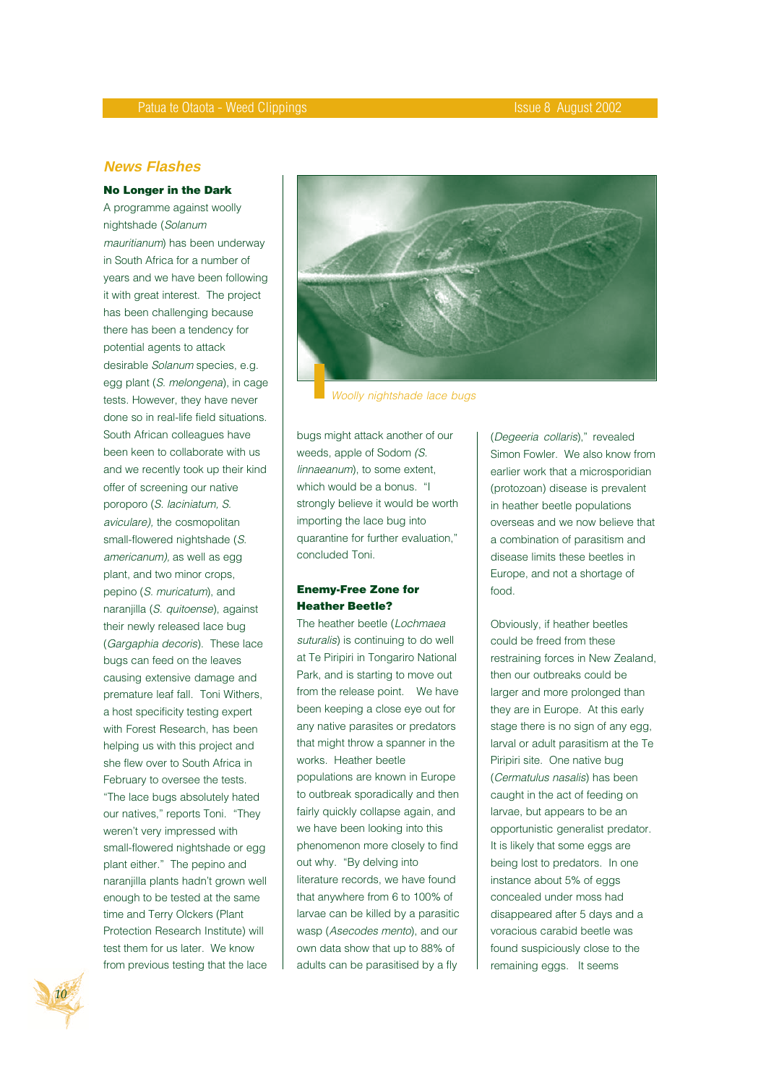#### **News Flashes**

#### **No Longer in the Dark**

A programme against woolly nightshade (Solanum mauritianum) has been underway in South Africa for a number of years and we have been following it with great interest. The project has been challenging because there has been a tendency for potential agents to attack desirable Solanum species, e.g. egg plant (S. melongena), in cage tests. However, they have never done so in real-life field situations. South African colleagues have been keen to collaborate with us and we recently took up their kind offer of screening our native poroporo (S. laciniatum, S. aviculare), the cosmopolitan small-flowered nightshade (S. americanum), as well as egg plant, and two minor crops, pepino (S. muricatum), and naranjilla (S. quitoense), against their newly released lace bug (Gargaphia decoris). These lace bugs can feed on the leaves causing extensive damage and premature leaf fall. Toni Withers, a host specificity testing expert with Forest Research, has been helping us with this project and she flew over to South Africa in February to oversee the tests. "The lace bugs absolutely hated our natives," reports Toni. "They weren't very impressed with small-flowered nightshade or egg plant either." The pepino and naranjilla plants hadn't grown well enough to be tested at the same time and Terry Olckers (Plant Protection Research Institute) will test them for us later. We know from previous testing that the lace



Woolly nightshade lace bugs

bugs might attack another of our weeds, apple of Sodom (S. linnaeanum), to some extent, which would be a bonus. "I strongly believe it would be worth importing the lace bug into quarantine for further evaluation," concluded Toni.

#### **Enemy-Free Zone for Heather Beetle?**

The heather beetle (Lochmaea suturalis) is continuing to do well at Te Piripiri in Tongariro National Park, and is starting to move out from the release point. We have been keeping a close eye out for any native parasites or predators that might throw a spanner in the works. Heather beetle populations are known in Europe to outbreak sporadically and then fairly quickly collapse again, and we have been looking into this phenomenon more closely to find out why. "By delving into literature records, we have found that anywhere from 6 to 100% of larvae can be killed by a parasitic wasp (Asecodes mento), and our own data show that up to 88% of adults can be parasitised by a fly

(Degeeria collaris)," revealed Simon Fowler. We also know from earlier work that a microsporidian (protozoan) disease is prevalent in heather beetle populations overseas and we now believe that a combination of parasitism and disease limits these beetles in Europe, and not a shortage of food.

Obviously, if heather beetles could be freed from these restraining forces in New Zealand, then our outbreaks could be larger and more prolonged than they are in Europe. At this early stage there is no sign of any egg, larval or adult parasitism at the Te Piripiri site. One native bug (Cermatulus nasalis) has been caught in the act of feeding on larvae, but appears to be an opportunistic generalist predator. It is likely that some eggs are being lost to predators. In one instance about 5% of eggs concealed under moss had disappeared after 5 days and a voracious carabid beetle was found suspiciously close to the remaining eggs. It seems

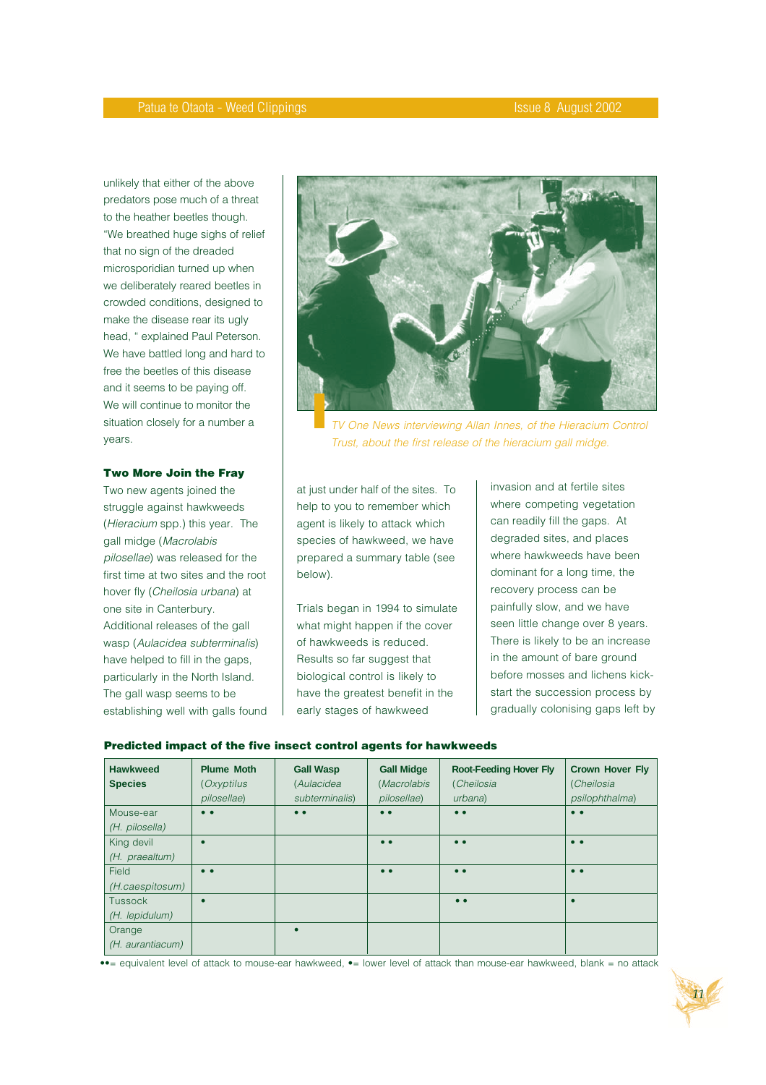unlikely that either of the above predators pose much of a threat to the heather beetles though. "We breathed huge sighs of relief that no sign of the dreaded microsporidian turned up when we deliberately reared beetles in crowded conditions, designed to make the disease rear its ugly head, " explained Paul Peterson. We have battled long and hard to free the beetles of this disease and it seems to be paying off. We will continue to monitor the situation closely for a number a years.

#### **Two More Join the Fray**

Two new agents joined the struggle against hawkweeds (Hieracium spp.) this year. The gall midge (Macrolabis pilosellae) was released for the first time at two sites and the root hover fly (Cheilosia urbana) at one site in Canterbury. Additional releases of the gall wasp (Aulacidea subterminalis) have helped to fill in the gaps, particularly in the North Island. The gall wasp seems to be establishing well with galls found



TV One News interviewing Allan Innes, of the Hieracium Control Trust, about the first release of the hieracium gall midge.

at just under half of the sites. To help to you to remember which agent is likely to attack which species of hawkweed, we have prepared a summary table (see below).

Trials began in 1994 to simulate what might happen if the cover of hawkweeds is reduced. Results so far suggest that biological control is likely to have the greatest benefit in the early stages of hawkweed

invasion and at fertile sites where competing vegetation can readily fill the gaps. At degraded sites, and places where hawkweeds have been dominant for a long time, the recovery process can be painfully slow, and we have seen little change over 8 years. There is likely to be an increase in the amount of bare ground before mosses and lichens kickstart the succession process by gradually colonising gaps left by

#### **Predicted impact of the five insect control agents for hawkweeds**

| <b>Hawkweed</b><br><b>Species</b> | <b>Plume Moth</b><br>(Oxyptilus | <b>Gall Wasp</b><br>(Aulacidea | <b>Gall Midge</b><br>(Macrolabis | <b>Root-Feeding Hover Fly</b><br>(Cheilosia | <b>Crown Hover Fly</b><br>(Cheilosia |
|-----------------------------------|---------------------------------|--------------------------------|----------------------------------|---------------------------------------------|--------------------------------------|
|                                   | pilosellae)                     | subterminalis)                 | pilosellae)                      | urbana)                                     | psilophthalma)                       |
| Mouse-ear<br>(H. pilosella)       | $\bullet\bullet$                | $\bullet$ $\bullet$            | $\bullet$                        | $\bullet$                                   | $\bullet$                            |
| King devil                        |                                 |                                | $\bullet$                        | $\bullet$                                   | $\bullet\bullet$                     |
| (H. praealtum)                    |                                 |                                |                                  |                                             |                                      |
| Field                             | $\bullet\bullet$                |                                | $\bullet$                        | $\bullet$                                   | $\bullet\bullet$                     |
| (H.caespitosum)                   |                                 |                                |                                  |                                             |                                      |
| Tussock                           | $\bullet$                       |                                |                                  | $\bullet\bullet$                            | $\bullet$                            |
| (H. lepidulum)                    |                                 |                                |                                  |                                             |                                      |
| Orange<br>(H. aurantiacum)        |                                 |                                |                                  |                                             |                                      |

••= equivalent level of attack to mouse-ear hawkweed, •= lower level of attack than mouse-ear hawkweed, blank = no attack

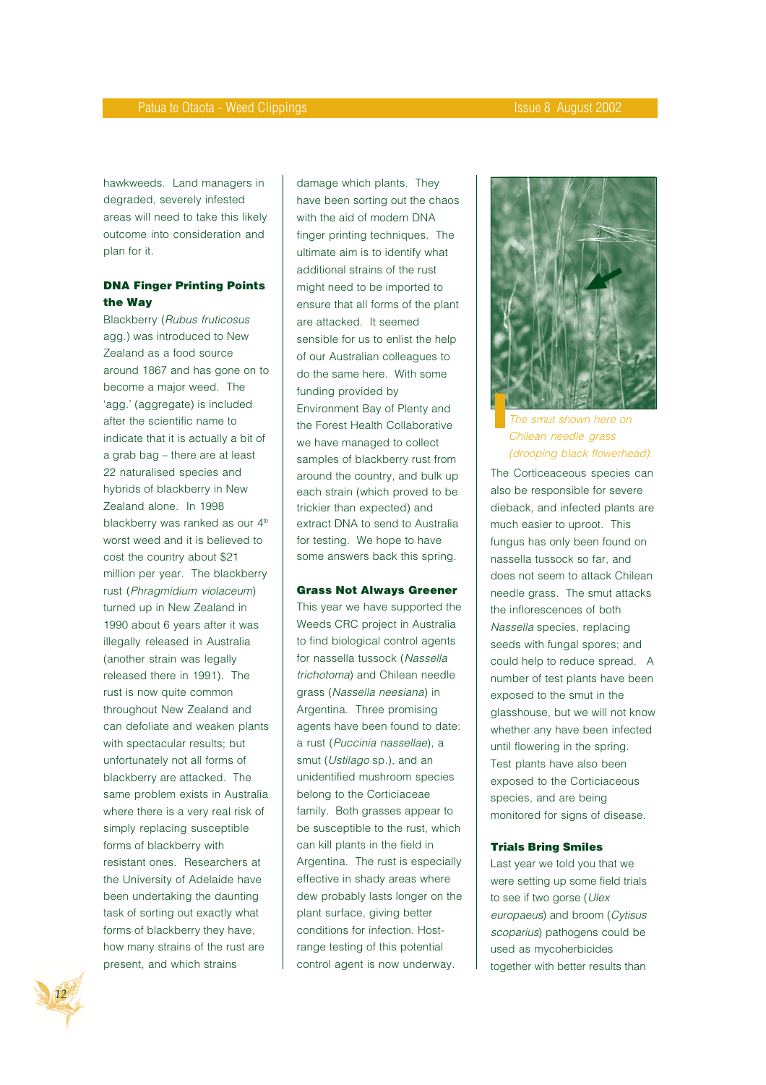hawkweeds. Land managers in degraded, severely infested areas will need to take this likely outcome into consideration and plan for it.

#### **DNA Finger Printing Points the Way**

Blackberry (Rubus fruticosus agg.) was introduced to New Zealand as a food source around 1867 and has gone on to become a major weed. The 'agg.' (aggregate) is included after the scientific name to indicate that it is actually a bit of a grab bag – there are at least 22 naturalised species and hybrids of blackberry in New Zealand alone. In 1998 blackberry was ranked as our 4<sup>th</sup> worst weed and it is believed to cost the country about \$21 million per year. The blackberry rust (Phragmidium violaceum) turned up in New Zealand in 1990 about 6 years after it was illegally released in Australia (another strain was legally released there in 1991). The rust is now quite common throughout New Zealand and can defoliate and weaken plants with spectacular results; but unfortunately not all forms of blackberry are attacked. The same problem exists in Australia where there is a very real risk of simply replacing susceptible forms of blackberry with resistant ones. Researchers at the University of Adelaide have been undertaking the daunting task of sorting out exactly what forms of blackberry they have, how many strains of the rust are present, and which strains

damage which plants. They have been sorting out the chaos with the aid of modern DNA finger printing techniques. The ultimate aim is to identify what additional strains of the rust might need to be imported to ensure that all forms of the plant are attacked. It seemed sensible for us to enlist the help of our Australian colleagues to do the same here. With some funding provided by Environment Bay of Plenty and the Forest Health Collaborative we have managed to collect samples of blackberry rust from around the country, and bulk up each strain (which proved to be trickier than expected) and extract DNA to send to Australia for testing. We hope to have some answers back this spring.

#### **Grass Not Always Greener**

This year we have supported the Weeds CRC project in Australia to find biological control agents for nassella tussock (Nassella trichotoma) and Chilean needle grass (Nassella neesiana) in Argentina. Three promising agents have been found to date: a rust (Puccinia nassellae), a smut (Ustilago sp.), and an unidentified mushroom species belong to the Corticiaceae family. Both grasses appear to be susceptible to the rust, which can kill plants in the field in Argentina. The rust is especially effective in shady areas where dew probably lasts longer on the plant surface, giving better conditions for infection. Hostrange testing of this potential control agent is now underway.



The smut shown here on Chilean needle grass (drooping black flowerhead).

The Corticeaceous species can also be responsible for severe dieback, and infected plants are much easier to uproot. This fungus has only been found on nassella tussock so far, and does not seem to attack Chilean needle grass. The smut attacks the inflorescences of both Nassella species, replacing seeds with fungal spores; and could help to reduce spread. A number of test plants have been exposed to the smut in the glasshouse, but we will not know whether any have been infected until flowering in the spring. Test plants have also been exposed to the Corticiaceous species, and are being monitored for signs of disease.

#### **Trials Bring Smiles**

Last year we told you that we were setting up some field trials to see if two gorse (Ulex europaeus) and broom (Cytisus scoparius) pathogens could be used as mycoherbicides together with better results than

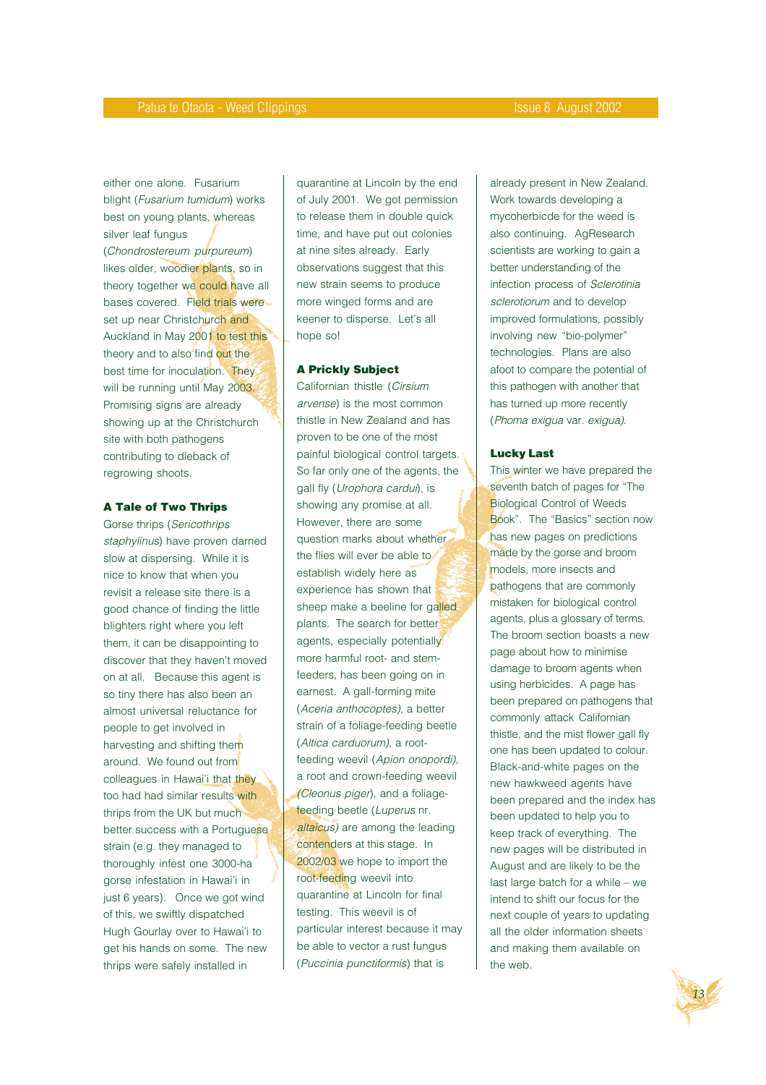either one alone. Fusarium blight (Fusarium tumidum) works best on young plants, whereas silver leaf fungus (Chondrostereum purpureum) likes older, woodier plants, so in theory together we could have all bases covered. Field trials were set up near Christchurch and Auckland in May 2001 to test this theory and to also find out the best time for inoculation. They will be running until May 2003. Promising signs are already showing up at the Christchurch site with both pathogens contributing to dieback of regrowing shoots.

#### **A Tale of Two Thrips**

Gorse thrips (Sericothrips staphylinus) have proven darned slow at dispersing. While it is nice to know that when you revisit a release site there is a good chance of finding the little blighters right where you left them, it can be disappointing to discover that they haven't moved on at all. Because this agent is so tiny there has also been an almost universal reluctance for people to get involved in harvesting and shifting them around. We found out from colleagues in Hawai'i that they too had had similar results with thrips from the UK but much better success with a Portuguese strain (e.g. they managed to thoroughly infest one 3000-ha gorse infestation in Hawai'i in just 6 years). Once we got wind of this, we swiftly dispatched Hugh Gourlay over to Hawai'i to get his hands on some. The new thrips were safely installed in

quarantine at Lincoln by the end of July 2001. We got permission to release them in double quick time, and have put out colonies at nine sites already. Early observations suggest that this new strain seems to produce more winged forms and are keener to disperse. Let's all hope so!

#### **A Prickly Subject**

Californian thistle (Cirsium arvense) is the most common thistle in New Zealand and has proven to be one of the most painful biological control targets. So far only one of the agents, the gall fly (Urophora cardui), is showing any promise at all. However, there are some question marks about whether the flies will ever be able to establish widely here as experience has shown that sheep make a beeline for galled plants. The search for better agents, especially potentially more harmful root- and stemfeeders, has been going on in earnest. A gall-forming mite (Aceria anthocoptes), a better strain of a foliage-feeding beetle (Altica carduorum), a rootfeeding weevil (Apion onopordi), a root and crown-feeding weevil (Cleonus piger), and a foliagefeeding beetle (Luperus nr. altaicus) are among the leading contenders at this stage. In 2002/03 we hope to import the root-feeding weevil into quarantine at Lincoln for final testing. This weevil is of particular interest because it may be able to vector a rust fungus (Puccinia punctiformis) that is

already present in New Zealand. Work towards developing a mycoherbicde for the weed is also continuing. AgResearch scientists are working to gain a better understanding of the infection process of Sclerotinia sclerotiorum and to develop improved formulations, possibly involving new "bio-polymer" technologies. Plans are also afoot to compare the potential of this pathogen with another that has turned up more recently (Phoma exigua var. exigua).

#### **Lucky Last**

This winter we have prepared the seventh batch of pages for "The Biological Control of Weeds Book". The "Basics" section now has new pages on predictions made by the gorse and broom models, more insects and pathogens that are commonly mistaken for biological control agents, plus a glossary of terms. The broom section boasts a new page about how to minimise damage to broom agents when using herbicides. A page has been prepared on pathogens that commonly attack Californian thistle, and the mist flower gall fly one has been updated to colour. Black-and-white pages on the new hawkweed agents have been prepared and the index has been updated to help you to keep track of everything. The new pages will be distributed in August and are likely to be the last large batch for a while – we intend to shift our focus for the next couple of years to updating all the older information sheets and making them available on the web.

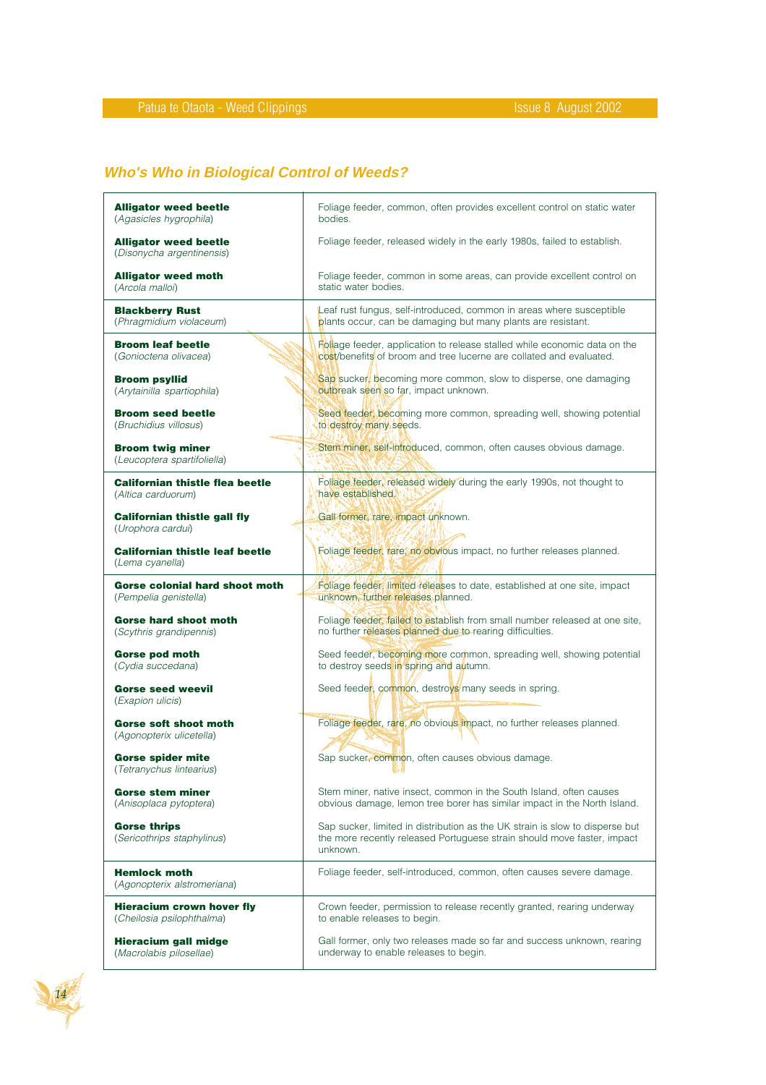# **Who's Who in Biological Control of Weeds?**

| <b>Alligator weed beetle</b>                              | Foliage feeder, common, often provides excellent control on static water                                                                                            |
|-----------------------------------------------------------|---------------------------------------------------------------------------------------------------------------------------------------------------------------------|
| (Agasicles hygrophila)                                    | bodies.                                                                                                                                                             |
| <b>Alligator weed beetle</b><br>(Disonycha argentinensis) | Foliage feeder, released widely in the early 1980s, failed to establish.                                                                                            |
| <b>Alligator weed moth</b>                                | Foliage feeder, common in some areas, can provide excellent control on                                                                                              |
| (Arcola malloi)                                           | static water bodies.                                                                                                                                                |
| <b>Blackberry Rust</b>                                    | Leaf rust fungus, self-introduced, common in areas where susceptible                                                                                                |
| (Phragmidium violaceum)                                   | plants occur, can be damaging but many plants are resistant.                                                                                                        |
| <b>Broom leaf beetle</b>                                  | Follage feeder, application to release stalled while economic data on the                                                                                           |
| (Gonioctena olivacea)                                     | cost/benefits of broom and tree lucerne are collated and evaluated.                                                                                                 |
| <b>Broom psyllid</b>                                      | Sap sucker, becoming more common, slow to disperse, one damaging                                                                                                    |
| (Arytainilla spartiophila)                                | outbreak seen so far, impact unknown.                                                                                                                               |
| <b>Broom seed beetle</b>                                  | Seed feeder, becoming more common, spreading well, showing potential                                                                                                |
| (Bruchidius villosus)                                     | to destroy many seeds.                                                                                                                                              |
| <b>Broom twig miner</b><br>(Leucoptera spartifoliella)    | Stem miner, self-introduced, common, often causes obvious damage.                                                                                                   |
| <b>Californian thistle flea beetle</b>                    | Foliage feeder, released widely during the early 1990s, not thought to                                                                                              |
| (Altica carduorum)                                        | have established.                                                                                                                                                   |
| <b>Californian thistle gall fly</b><br>(Urophora cardui)  | Gall former, rare, impact unknown.                                                                                                                                  |
| <b>Californian thistle leaf beetle</b><br>(Lema cyanella) | Foliage feeder, rare, no obvious impact, no further releases planned.                                                                                               |
| <b>Gorse colonial hard shoot moth</b>                     | Foliage feeder, limited releases to date, established at one site, impact                                                                                           |
| (Pempelia genistella)                                     | unknown, further releases planned.                                                                                                                                  |
| <b>Gorse hard shoot moth</b>                              | Foliage feeder, failed to establish from small number released at one site,                                                                                         |
| (Scythris grandipennis)                                   | no further releases planned due to rearing difficulties.                                                                                                            |
| <b>Gorse pod moth</b>                                     | Seed feeder, becoming more common, spreading well, showing potential                                                                                                |
| (Cydia succedana)                                         | to destroy seeds in spring and autumn.                                                                                                                              |
| <b>Gorse seed weevil</b><br>(Exapion ulicis)              | Seed feeder, common, destroys many seeds in spring.                                                                                                                 |
| <b>Gorse soft shoot moth</b><br>(Agonopterix ulicetella)  | Foliage feeder, rare, no obvious impact, no further releases planned.                                                                                               |
| <b>Gorse spider mite</b><br>(Tetranychus lintearius)      | Sap sucker, common, often causes obvious damage.                                                                                                                    |
| <b>Gorse stem miner</b>                                   | Stem miner, native insect, common in the South Island, often causes                                                                                                 |
| (Anisoplaca pytoptera)                                    | obvious damage, lemon tree borer has similar impact in the North Island.                                                                                            |
| <b>Gorse thrips</b><br>(Sericothrips staphylinus)         | Sap sucker, limited in distribution as the UK strain is slow to disperse but<br>the more recently released Portuguese strain should move faster, impact<br>unknown. |
| <b>Hemlock moth</b><br>(Agonopterix alstromeriana)        | Foliage feeder, self-introduced, common, often causes severe damage.                                                                                                |
| <b>Hieracium crown hover fly</b>                          | Crown feeder, permission to release recently granted, rearing underway                                                                                              |
| (Cheilosia psilophthalma)                                 | to enable releases to begin.                                                                                                                                        |
| <b>Hieracium gall midge</b>                               | Gall former, only two releases made so far and success unknown, rearing                                                                                             |
| (Macrolabis pilosellae)                                   | underway to enable releases to begin.                                                                                                                               |

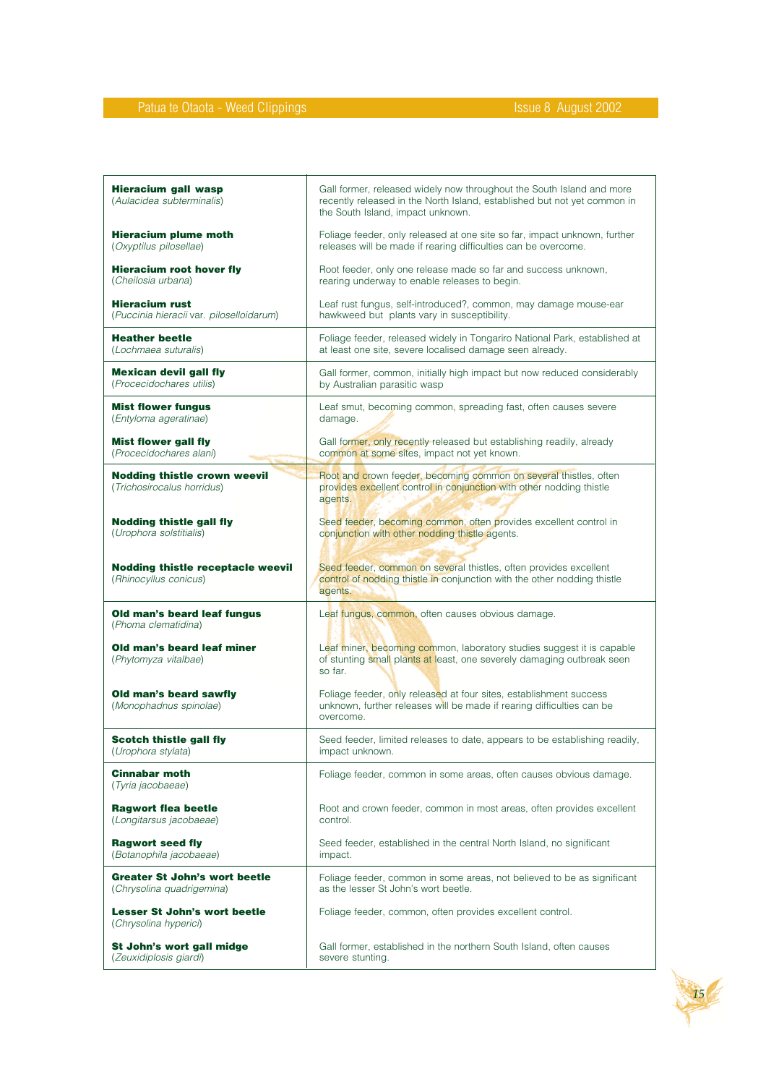| <b>Hieracium gall wasp</b><br>(Aulacidea subterminalis)           | Gall former, released widely now throughout the South Island and more<br>recently released in the North Island, established but not yet common in<br>the South Island, impact unknown. |
|-------------------------------------------------------------------|----------------------------------------------------------------------------------------------------------------------------------------------------------------------------------------|
| <b>Hieracium plume moth</b>                                       | Foliage feeder, only released at one site so far, impact unknown, further                                                                                                              |
| (Oxyptilus pilosellae)                                            | releases will be made if rearing difficulties can be overcome.                                                                                                                         |
| <b>Hieracium root hover fly</b>                                   | Root feeder, only one release made so far and success unknown,                                                                                                                         |
| (Cheilosia urbana)                                                | rearing underway to enable releases to begin.                                                                                                                                          |
| <b>Hieracium rust</b>                                             | Leaf rust fungus, self-introduced?, common, may damage mouse-ear                                                                                                                       |
| (Puccinia hieracii var. piloselloidarum)                          | hawkweed but plants vary in susceptibility.                                                                                                                                            |
| <b>Heather beetle</b>                                             | Foliage feeder, released widely in Tongariro National Park, established at                                                                                                             |
| (Lochmaea suturalis)                                              | at least one site, severe localised damage seen already.                                                                                                                               |
| <b>Mexican devil gall fly</b>                                     | Gall former, common, initially high impact but now reduced considerably                                                                                                                |
| (Procecidochares utilis)                                          | by Australian parasitic wasp                                                                                                                                                           |
| <b>Mist flower fungus</b>                                         | Leaf smut, becoming common, spreading fast, often causes severe                                                                                                                        |
| (Entyloma ageratinae)                                             | damage.                                                                                                                                                                                |
| <b>Mist flower gall fly</b>                                       | Gall former, only recently released but establishing readily, already                                                                                                                  |
| (Procecidochares alani)                                           | common at some sites, impact not yet known.                                                                                                                                            |
| <b>Nodding thistle crown weevil</b><br>(Trichosirocalus horridus) | Root and crown feeder, becoming common on several thistles, often<br>provides excellent control in conjunction with other nodding thistle<br>agents.                                   |
| <b>Nodding thistle gall fly</b>                                   | Seed feeder, becoming common, often provides excellent control in                                                                                                                      |
| (Urophora solstitialis)                                           | conjunction with other nodding thistle agents.                                                                                                                                         |
| <b>Nodding thistle receptacle weevil</b><br>(Rhinocyllus conicus) | Seed feeder, common on several thistles, often provides excellent<br>control of nodding thistle in conjunction with the other nodding thistle<br>agents.                               |
| Old man's beard leaf fungus<br>(Phoma clematidina)                | Leaf fungus, common, often causes obvious damage.                                                                                                                                      |
| Old man's beard leaf miner<br>(Phytomyza vitalbae)                | Leaf miner, becoming common, laboratory studies suggest it is capable<br>of stunting small plants at least, one severely damaging outbreak seen<br>so far.                             |
| Old man's beard sawfly<br>(Monophadnus spinolae)                  | Foliage feeder, only released at four sites, establishment success<br>unknown, further releases will be made if rearing difficulties can be<br>overcome.                               |
| <b>Scotch thistle gall fly</b>                                    | Seed feeder, limited releases to date, appears to be establishing readily.                                                                                                             |
| (Urophora stylata)                                                | impact unknown.                                                                                                                                                                        |
| <b>Cinnabar moth</b><br>(Tyria jacobaeae)                         | Foliage feeder, common in some areas, often causes obvious damage.                                                                                                                     |
| <b>Ragwort flea beetle</b>                                        | Root and crown feeder, common in most areas, often provides excellent                                                                                                                  |
| (Longitarsus jacobaeae)                                           | control.                                                                                                                                                                               |
| <b>Ragwort seed fly</b>                                           | Seed feeder, established in the central North Island, no significant                                                                                                                   |
| (Botanophila jacobaeae)                                           | impact.                                                                                                                                                                                |
| <b>Greater St John's wort beetle</b>                              | Foliage feeder, common in some areas, not believed to be as significant                                                                                                                |
| (Chrysolina quadrigemina)                                         | as the lesser St John's wort beetle.                                                                                                                                                   |
| <b>Lesser St John's wort beetle</b><br>(Chrysolina hyperici)      | Foliage feeder, common, often provides excellent control.                                                                                                                              |
| St John's wort gall midge                                         | Gall former, established in the northern South Island, often causes                                                                                                                    |
| (Zeuxidiplosis giardi)                                            | severe stunting.                                                                                                                                                                       |